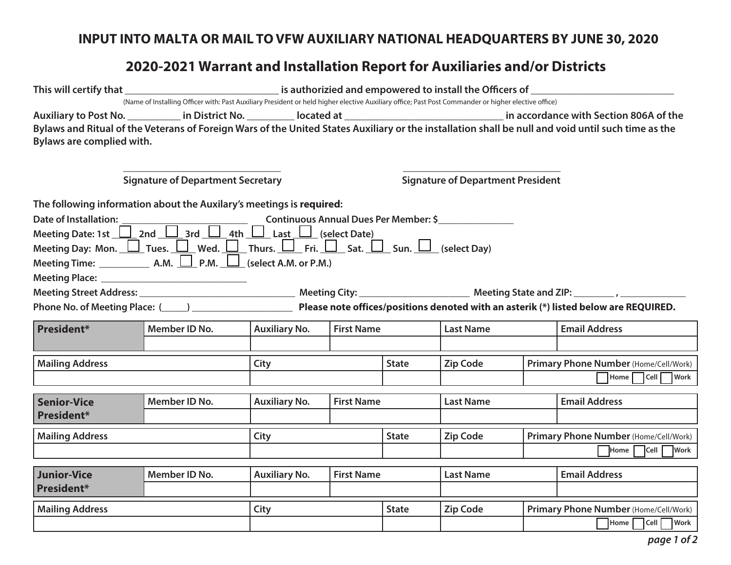## **INPUT INTO MALTA OR MAIL TO VFW AUXILIARY NATIONAL HEADQUARTERS BY JUNE 30, 2020**

## **2020-2021 Warrant and Installation Report for Auxiliaries and/or Districts**

|                                                                                                                                                                                          | (Name of Installing Officer with: Past Auxiliary President or held higher elective Auxiliary office; Past Post Commander or higher elective office) |                                          |                   |                                                                                                                              |                  |  |                                                                                                                                                                                                                                                                                                         |  |
|------------------------------------------------------------------------------------------------------------------------------------------------------------------------------------------|-----------------------------------------------------------------------------------------------------------------------------------------------------|------------------------------------------|-------------------|------------------------------------------------------------------------------------------------------------------------------|------------------|--|---------------------------------------------------------------------------------------------------------------------------------------------------------------------------------------------------------------------------------------------------------------------------------------------------------|--|
| Bylaws are complied with.                                                                                                                                                                |                                                                                                                                                     |                                          |                   |                                                                                                                              |                  |  | Auxiliary to Post No. ___________ in District No. __________ located at __________________________________ in accordance with Section 806A of the<br>Bylaws and Ritual of the Veterans of Foreign Wars of the United States Auxiliary or the installation shall be null and void until such time as the |  |
|                                                                                                                                                                                          | <b>Signature of Department Secretary</b>                                                                                                            | <b>Signature of Department President</b> |                   |                                                                                                                              |                  |  |                                                                                                                                                                                                                                                                                                         |  |
| The following information about the Auxilary's meetings is required:<br>Meeting Day: Mon. $\Box$ Tues. $\Box$ Wed. $\Box$ Thurs. $\Box$ Fri. $\Box$ Sat. $\Box$ Sun. $\Box$ (select Day) |                                                                                                                                                     |                                          |                   |                                                                                                                              |                  |  |                                                                                                                                                                                                                                                                                                         |  |
|                                                                                                                                                                                          |                                                                                                                                                     |                                          |                   | Phone No. of Meeting Place: (1992) 2022 Please note offices/positions denoted with an asterik (*) listed below are REQUIRED. |                  |  |                                                                                                                                                                                                                                                                                                         |  |
| President*                                                                                                                                                                               | Member ID No.                                                                                                                                       | <b>Auxiliary No.</b>                     | <b>First Name</b> |                                                                                                                              | <b>Last Name</b> |  | <b>Email Address</b>                                                                                                                                                                                                                                                                                    |  |
| <b>Mailing Address</b>                                                                                                                                                                   |                                                                                                                                                     | City                                     |                   |                                                                                                                              | <b>Zip Code</b>  |  | Primary Phone Number (Home/Cell/Work)<br>Home Cell Work                                                                                                                                                                                                                                                 |  |
| <b>Senior-Vice</b><br><b>President*</b>                                                                                                                                                  | Member ID No.                                                                                                                                       | <b>Auxiliary No.</b>                     | <b>First Name</b> |                                                                                                                              | <b>Last Name</b> |  | <b>Email Address</b>                                                                                                                                                                                                                                                                                    |  |
| <b>Mailing Address</b>                                                                                                                                                                   |                                                                                                                                                     | City                                     |                   |                                                                                                                              | <b>Zip Code</b>  |  | Primary Phone Number (Home/Cell/Work)<br>Home Cell Work                                                                                                                                                                                                                                                 |  |
| <b>Junior-Vice</b><br><b>President*</b>                                                                                                                                                  | Member ID No.                                                                                                                                       | <b>Auxiliary No.</b>                     | <b>First Name</b> |                                                                                                                              | <b>Last Name</b> |  | <b>Email Address</b>                                                                                                                                                                                                                                                                                    |  |
| <b>Mailing Address</b>                                                                                                                                                                   |                                                                                                                                                     | City                                     |                   |                                                                                                                              | <b>Zip Code</b>  |  | Primary Phone Number (Home/Cell/Work)<br>$\sqrt{\frac{1}{10}}$ Home $\sqrt{\frac{1}{10}}$ Cell $\sqrt{\frac{1}{10}}$ Work                                                                                                                                                                               |  |